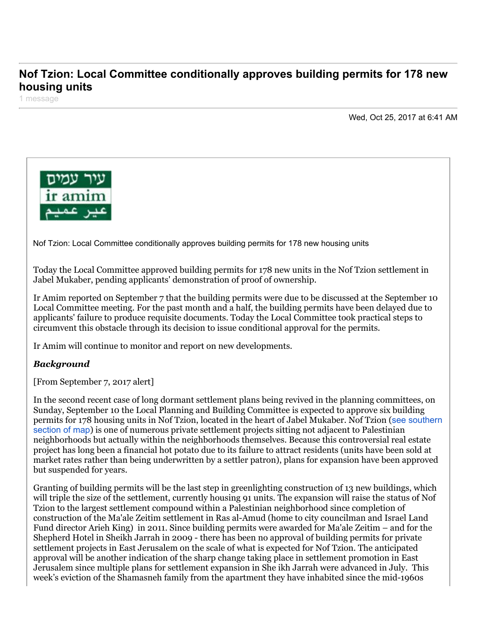## **Nof Tzion: Local Committee conditionally approves building permits for 178 new housing units**

1 message

Wed, Oct 25, 2017 at 6:41 AM



Nof Tzion: Local Committee conditionally approves building permits for 178 new housing units

Today the Local Committee approved building permits for 178 new units in the Nof Tzion settlement in Jabel Mukaber, pending applicants' demonstration of proof of ownership.

Ir Amim reported on September 7 that the building permits were due to be discussed at the September 10 Local Committee meeting. For the past month and a half, the building permits have been delayed due to applicants' failure to produce requisite documents. Today the Local Committee took practical steps to circumvent this obstacle through its decision to issue conditional approval for the permits.

Ir Amim will continue to monitor and report on new developments.

## *Background*

[From September 7, 2017 alert]

In the second recent case of long dormant settlement plans being revived in the planning committees, on Sunday, September 10 the Local Planning and Building Committee is expected to approve six building [permits for 178 housing units in Nof Tzion, located in the heart of Jabel Mukaber. Nof Tzion \(](http://www.altro.co.il/uploads/252/File/Settlement%20around%20Old%20City.jpg)see southern section of map) is one of numerous private settlement projects sitting not adjacent to Palestinian neighborhoods but actually within the neighborhoods themselves. Because this controversial real estate project has long been a financial hot potato due to its failure to attract residents (units have been sold at market rates rather than being underwritten by a settler patron), plans for expansion have been approved but suspended for years.

Granting of building permits will be the last step in greenlighting construction of 13 new buildings, which will triple the size of the settlement, currently housing 91 units. The expansion will raise the status of Nof Tzion to the largest settlement compound within a Palestinian neighborhood since completion of construction of the Ma'ale Zeitim settlement in Ras al-Amud (home to city councilman and Israel Land Fund director Arieh King) in 2011. Since building permits were awarded for Ma'ale Zeitim – and for the Shepherd Hotel in Sheikh Jarrah in 2009 - there has been no approval of building permits for private settlement projects in East Jerusalem on the scale of what is expected for Nof Tzion. The anticipated approval will be another indication of the sharp change taking place in settlement promotion in East Jerusalem since multiple plans for settlement expansion in She ikh Jarrah were advanced in July. This week's eviction of the Shamasneh family from the apartment they have inhabited since the mid-1960s